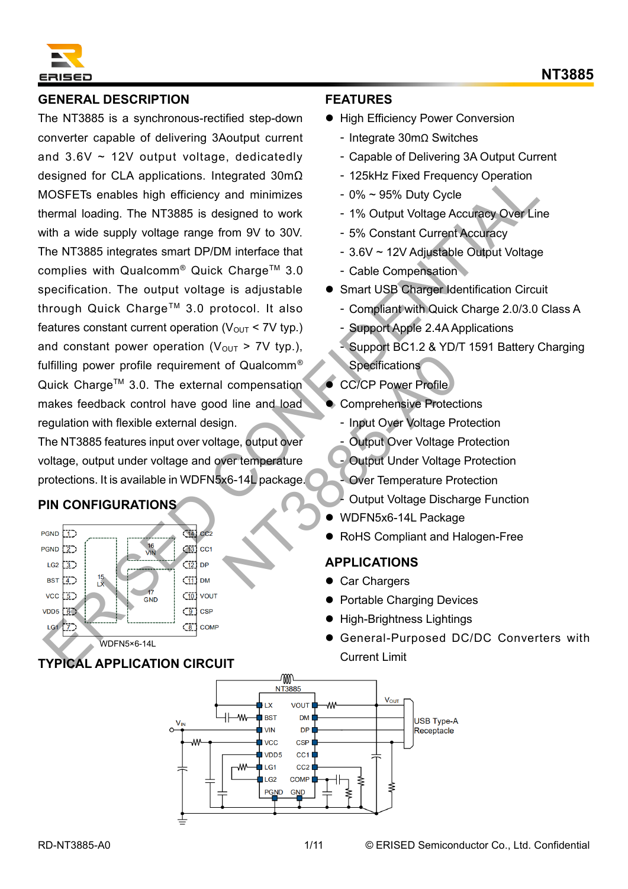

### **GENERAL DESCRIPTION**

The NT3885 is a synchronous-rectified step-down converter capable of delivering 3Aoutput current and  $3.6V \sim 12V$  output voltage, dedicatedly designed for CLA applications. Integrated 30mΩ MOSFETs enables high efficiency and minimizes thermal loading. The NT3885 is designed to work with a wide supply voltage range from 9V to 30V. The NT3885 integrates smart DP/DM interface that complies with Qualcomm<sup>®</sup> Quick Charge™ 3.0 specification. The output voltage is adjustable through Quick Charge™ 3.0 protocol. It also features constant current operation ( $V_{OUT}$  < 7V typ.) and constant power operation ( $V_{\text{OUT}} > 7V$  typ.), fulfilling power profile requirement of Qualcomm® Quick Charge™ 3.0. The external compensation makes feedback control have good line and load regulation with flexible external design. Esigned for CLA priptication. Integrated 30m0<br>
MOSFETs enables high-filticities and thim is a cost-<br>
of Section (UV) Cycle<br>
Memal loading. The NT3886 is designed to work  $\sim$  1% Output Voltage Accuracy Over Line<br>
with a w OF Qualcomm<sup>®</sup><br>
Specifications<br>
d line and load<br>
Comprehensive Protect<br>
- Input Over Voltage Pr<br>
ver temperature<br>
X6-14L package.<br>
- Output Under Voltage Disch<br>
- Output Under Voltage<br>
- Over Temperature Protect<br>
- Output

The NT3885 features input over voltage, output over voltage, output under voltage and over temperature protections. It is available in WDFN5x6-14L package.

## **PIN CONFIGURATIONS**



## **TYPICAL APPLICATION CIRCUIT**

#### **FEATURES**

- High Efficiency Power Conversion
	- ‑ Integrate 30mΩ Switches
	- ‑ Capable of Delivering 3A Output Current
	- ‑ 125kHz Fixed Frequency Operation
	- ‑ 0% ~ 95% Duty Cycle
	- ‑ 1% Output Voltage Accuracy Over Line
	- ‑ 5% Constant Current Accuracy
	- ‑ 3.6V ~ 12V Adjustable Output Voltage
	- ‑ Cable Compensation
- Smart USB Charger Identification Circuit
	- ‑ Compliant with Quick Charge 2.0/3.0 Class A
	- ‑ Support Apple 2.4A Applications
	- ‑ Support BC1.2 & YD/T 1591 Battery Charging **Specifications**
- CC/CP Power Profile
- ⚫ Comprehensive Protections
	- ‑ Input Over Voltage Protection
- ‑ Output Over Voltage Protection
- ‑ Output Under Voltage Protection
- ‑ Over Temperature Protection
- ‑ Output Voltage Discharge Function
- ⚫ WDFN5x6-14L Package
- ⚫ RoHS Compliant and Halogen-Free

#### **APPLICATIONS**

- Car Chargers
- ⚫ Portable Charging Devices
- ⚫ High-Brightness Lightings
- ⚫ General-Purposed DC/DC Converters with Current Limit